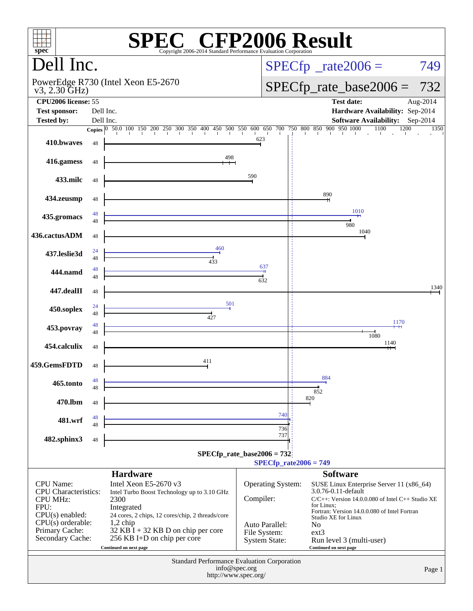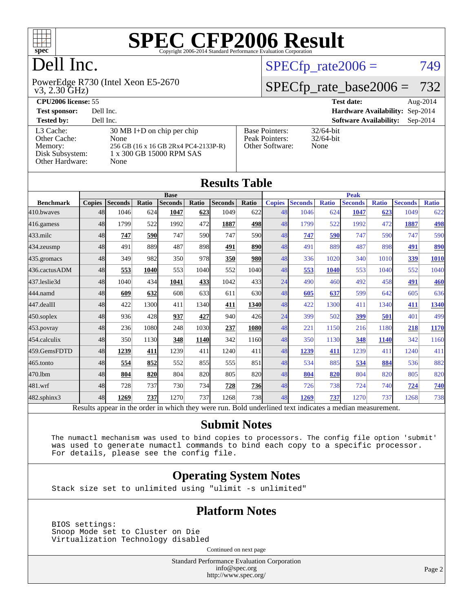

## Dell Inc.

 v3, 2.30 GHz) PowerEdge R730 (Intel Xeon E5-2670

#### $SPECTp_rate2006 = 749$

#### [SPECfp\\_rate\\_base2006 =](http://www.spec.org/auto/cpu2006/Docs/result-fields.html#SPECfpratebase2006) 732

| <b>CPU2006 license: 55</b>                                                 |                                                                                                                          |                                                            | <b>Test date:</b><br>Aug- $2014$            |
|----------------------------------------------------------------------------|--------------------------------------------------------------------------------------------------------------------------|------------------------------------------------------------|---------------------------------------------|
| <b>Test sponsor:</b>                                                       | Dell Inc.                                                                                                                |                                                            | Hardware Availability: Sep-2014             |
| <b>Tested by:</b>                                                          | Dell Inc.                                                                                                                |                                                            | <b>Software Availability:</b><br>$Sep-2014$ |
| L3 Cache:<br>Other Cache:<br>Memory:<br>Disk Subsystem:<br>Other Hardware: | $30 \text{ MB}$ I+D on chip per chip<br>None<br>256 GB (16 x 16 GB 2Rx4 PC4-2133P-R)<br>1 x 300 GB 15000 RPM SAS<br>None | <b>Base Pointers:</b><br>Peak Pointers:<br>Other Software: | $32/64$ -bit<br>$32/64$ -bit<br>None        |

| <b>Results Table</b> |               |                |             |                                                                                                          |             |                |             |               |                |              |                |              |                |              |
|----------------------|---------------|----------------|-------------|----------------------------------------------------------------------------------------------------------|-------------|----------------|-------------|---------------|----------------|--------------|----------------|--------------|----------------|--------------|
|                      |               |                |             | <b>Base</b>                                                                                              |             |                |             |               |                |              | <b>Peak</b>    |              |                |              |
| <b>Benchmark</b>     | <b>Copies</b> | <b>Seconds</b> | Ratio       | <b>Seconds</b>                                                                                           | Ratio       | <b>Seconds</b> | Ratio       | <b>Copies</b> | <b>Seconds</b> | <b>Ratio</b> | <b>Seconds</b> | <b>Ratio</b> | <b>Seconds</b> | <b>Ratio</b> |
| 410.bwayes           | 48            | 1046           | 624         | 1047                                                                                                     | 623         | 1049           | 622         | 48            | 1046           | 624          | 1047           | 623          | 1049           | 622          |
| 416.gamess           | 48            | 1799           | 522         | 1992                                                                                                     | 472         | 1887           | 498         | 48            | 1799           | 522          | 1992           | 472          | 1887           | 498          |
| $433$ .milc          | 48            | 747            | 590         | 747                                                                                                      | 590I        | 747            | 590         | 48            | 747            | 590          | 747            | 590          | 747            | 590          |
| $434$ . zeusmp       | 48            | 491            | 889         | 487                                                                                                      | 898         | 491            | <b>890</b>  | 48            | 491            | 889          | 487            | 898          | 491            | 890          |
| 435.gromacs          | 48            | 349            | 982         | 350                                                                                                      | 978         | 350            | <b>980</b>  | 48            | 336            | 1020         | 340            | 1010         | 339            | 1010         |
| 436.cactusADM        | 48            | 553            | <b>1040</b> | 553                                                                                                      | 1040        | 552            | 1040        | 48            | 553            | 1040         | 553            | 1040         | 552            | 1040         |
| 437.leslie3d         | 48            | 1040           | 434         | 1041                                                                                                     | 433         | 1042           | 433         | 24            | 490            | 460          | 492            | 458          | 491            | 460          |
| 444.namd             | 48            | 609            | 632         | 608                                                                                                      | 633         | 611            | <b>630</b>  | 48            | 605            | 637          | 599            | 642          | 605            | 636          |
| 447.dealII           | 48            | 422            | 1300        | 411                                                                                                      | 1340        | 411            | <b>1340</b> | 48            | 422            | 1300         | 411            | 1340         | 411            | 1340         |
| $450$ .soplex        | 48            | 936            | 428         | 937                                                                                                      | 427         | 940            | 426         | 24            | 399            | 502          | 399            | 501          | 401            | 499          |
| 453.povray           | 48            | 236            | 1080        | 248                                                                                                      | 1030        | 237            | 1080        | 48            | 221            | 1150         | 216            | 1180         | 218            | 1170         |
| 454.calculix         | 48            | 350            | 1130        | 348                                                                                                      | <b>1140</b> | 342            | 1160        | 48            | 350            | 1130         | 348            | 1140         | 342            | 1160         |
| 459.GemsFDTD         | 48            | 1239           | 411         | 1239                                                                                                     | 411         | 1240           | 411         | 48            | 1239           | 411          | 1239           | 411          | 1240           | 411          |
| $465$ .tonto         | 48            | 554            | 852         | 552                                                                                                      | 855         | 555            | 851         | 48            | 534            | 885          | 534            | 884          | 536            | 882          |
| 470.1bm              | 48            | 804            | 820         | 804                                                                                                      | 820l        | 805            | 820         | 48            | 804            | 820          | 804            | 820          | 805            | 820          |
| 481.wrf              | 48            | 728            | 737         | 730                                                                                                      | 734         | 728            | <b>736</b>  | 48            | 726            | 738          | 724            | 740          | 724            | 740          |
| $482$ .sphinx $3$    | 48            | 1269           | 737         | 1270                                                                                                     | 737         | 1268           | 738         | 48            | 1269           | 737          | 1270           | 737          | 1268           | 738          |
|                      |               |                |             | Results appear in the order in which they were run. Bold underlined text indicates a median measurement. |             |                |             |               |                |              |                |              |                |              |

#### **[Submit Notes](http://www.spec.org/auto/cpu2006/Docs/result-fields.html#SubmitNotes)**

 The numactl mechanism was used to bind copies to processors. The config file option 'submit' was used to generate numactl commands to bind each copy to a specific processor. For details, please see the config file.

#### **[Operating System Notes](http://www.spec.org/auto/cpu2006/Docs/result-fields.html#OperatingSystemNotes)**

Stack size set to unlimited using "ulimit -s unlimited"

#### **[Platform Notes](http://www.spec.org/auto/cpu2006/Docs/result-fields.html#PlatformNotes)**

 BIOS settings: Snoop Mode set to Cluster on Die Virtualization Technology disabled

Continued on next page

Standard Performance Evaluation Corporation [info@spec.org](mailto:info@spec.org) <http://www.spec.org/>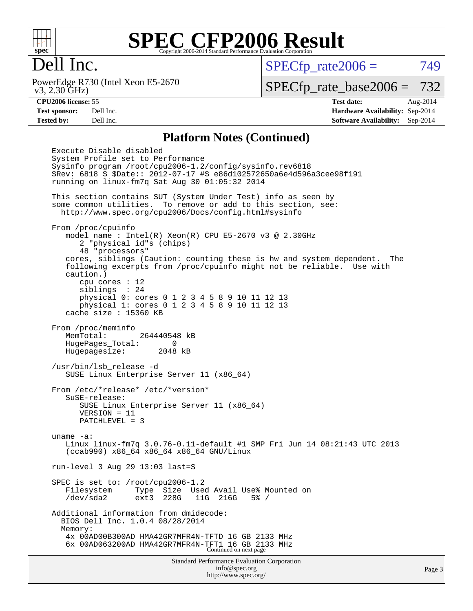

### Dell Inc.

 v3, 2.30 GHz) PowerEdge R730 (Intel Xeon E5-2670  $SPECTp_rate2006 = 749$ 

[SPECfp\\_rate\\_base2006 =](http://www.spec.org/auto/cpu2006/Docs/result-fields.html#SPECfpratebase2006) 732

**[CPU2006 license:](http://www.spec.org/auto/cpu2006/Docs/result-fields.html#CPU2006license)** 55 **[Test date:](http://www.spec.org/auto/cpu2006/Docs/result-fields.html#Testdate)** Aug-2014 **[Test sponsor:](http://www.spec.org/auto/cpu2006/Docs/result-fields.html#Testsponsor)** Dell Inc. **[Hardware Availability:](http://www.spec.org/auto/cpu2006/Docs/result-fields.html#HardwareAvailability)** Sep-2014 **[Tested by:](http://www.spec.org/auto/cpu2006/Docs/result-fields.html#Testedby)** Dell Inc. **[Software Availability:](http://www.spec.org/auto/cpu2006/Docs/result-fields.html#SoftwareAvailability)** Sep-2014

#### **[Platform Notes \(Continued\)](http://www.spec.org/auto/cpu2006/Docs/result-fields.html#PlatformNotes)**

Standard Performance Evaluation Corporation Execute Disable disabled System Profile set to Performance Sysinfo program /root/cpu2006-1.2/config/sysinfo.rev6818 \$Rev: 6818 \$ \$Date:: 2012-07-17 #\$ e86d102572650a6e4d596a3cee98f191 running on linux-fm7q Sat Aug 30 01:05:32 2014 This section contains SUT (System Under Test) info as seen by some common utilities. To remove or add to this section, see: <http://www.spec.org/cpu2006/Docs/config.html#sysinfo> From /proc/cpuinfo model name : Intel(R) Xeon(R) CPU E5-2670 v3 @ 2.30GHz 2 "physical id"s (chips) 48 "processors" cores, siblings (Caution: counting these is hw and system dependent. The following excerpts from /proc/cpuinfo might not be reliable. Use with caution.) cpu cores : 12 siblings : 24 physical 0: cores 0 1 2 3 4 5 8 9 10 11 12 13 physical 1: cores 0 1 2 3 4 5 8 9 10 11 12 13 cache size : 15360 KB From /proc/meminfo MemTotal: 264440548 kB HugePages\_Total: 0 Hugepagesize: 2048 kB /usr/bin/lsb\_release -d SUSE Linux Enterprise Server 11 (x86\_64) From /etc/\*release\* /etc/\*version\* SuSE-release: SUSE Linux Enterprise Server 11 (x86\_64) VERSION = 11 PATCHLEVEL = 3 uname -a: Linux linux-fm7q 3.0.76-0.11-default #1 SMP Fri Jun 14 08:21:43 UTC 2013 (ccab990) x86\_64 x86\_64 x86\_64 GNU/Linux run-level 3 Aug 29 13:03 last=S SPEC is set to: /root/cpu2006-1.2 Filesystem Type Size Used Avail Use% Mounted on /dev/sda2 ext3 228G 11G 216G 5% / Additional information from dmidecode: BIOS Dell Inc. 1.0.4 08/28/2014 Memory: 4x 00AD00B300AD HMA42GR7MFR4N-TFTD 16 GB 2133 MHz 6x 00AD063200AD HMA42GR7MFR4N-TFT1 16 GB 2133 MHz Continued on next page

[info@spec.org](mailto:info@spec.org) <http://www.spec.org/>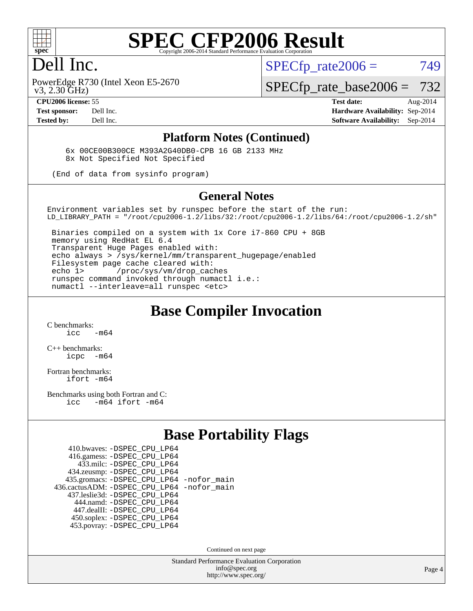

### Dell Inc.

 $SPECTp\_rate2006 = 749$ 

 v3, 2.30 GHz) PowerEdge R730 (Intel Xeon E5-2670

[SPECfp\\_rate\\_base2006 =](http://www.spec.org/auto/cpu2006/Docs/result-fields.html#SPECfpratebase2006) 732

**[CPU2006 license:](http://www.spec.org/auto/cpu2006/Docs/result-fields.html#CPU2006license)** 55 **[Test date:](http://www.spec.org/auto/cpu2006/Docs/result-fields.html#Testdate)** Aug-2014 **[Test sponsor:](http://www.spec.org/auto/cpu2006/Docs/result-fields.html#Testsponsor)** Dell Inc. **[Hardware Availability:](http://www.spec.org/auto/cpu2006/Docs/result-fields.html#HardwareAvailability)** Sep-2014 **[Tested by:](http://www.spec.org/auto/cpu2006/Docs/result-fields.html#Testedby)** Dell Inc. **[Software Availability:](http://www.spec.org/auto/cpu2006/Docs/result-fields.html#SoftwareAvailability)** Sep-2014

#### **[Platform Notes \(Continued\)](http://www.spec.org/auto/cpu2006/Docs/result-fields.html#PlatformNotes)**

 6x 00CE00B300CE M393A2G40DB0-CPB 16 GB 2133 MHz 8x Not Specified Not Specified

(End of data from sysinfo program)

#### **[General Notes](http://www.spec.org/auto/cpu2006/Docs/result-fields.html#GeneralNotes)**

Environment variables set by runspec before the start of the run: LD\_LIBRARY\_PATH = "/root/cpu2006-1.2/libs/32:/root/cpu2006-1.2/libs/64:/root/cpu2006-1.2/sh"

 Binaries compiled on a system with 1x Core i7-860 CPU + 8GB memory using RedHat EL 6.4 Transparent Huge Pages enabled with: echo always > /sys/kernel/mm/transparent\_hugepage/enabled Filesystem page cache cleared with: echo 1> /proc/sys/vm/drop\_caches runspec command invoked through numactl i.e.: numactl --interleave=all runspec <etc>

#### **[Base Compiler Invocation](http://www.spec.org/auto/cpu2006/Docs/result-fields.html#BaseCompilerInvocation)**

[C benchmarks](http://www.spec.org/auto/cpu2006/Docs/result-fields.html#Cbenchmarks):  $\frac{1}{2}$   $\mathrm{c}$   $\mathrm{c}$   $\frac{1}{2}$   $\mathrm{m}$   $\mathrm{6}$   $\mathrm{4}$ 

[C++ benchmarks:](http://www.spec.org/auto/cpu2006/Docs/result-fields.html#CXXbenchmarks) [icpc -m64](http://www.spec.org/cpu2006/results/res2014q3/cpu2006-20140909-31335.flags.html#user_CXXbase_intel_icpc_64bit_bedb90c1146cab66620883ef4f41a67e)

[Fortran benchmarks](http://www.spec.org/auto/cpu2006/Docs/result-fields.html#Fortranbenchmarks): [ifort -m64](http://www.spec.org/cpu2006/results/res2014q3/cpu2006-20140909-31335.flags.html#user_FCbase_intel_ifort_64bit_ee9d0fb25645d0210d97eb0527dcc06e)

[Benchmarks using both Fortran and C](http://www.spec.org/auto/cpu2006/Docs/result-fields.html#BenchmarksusingbothFortranandC): [icc -m64](http://www.spec.org/cpu2006/results/res2014q3/cpu2006-20140909-31335.flags.html#user_CC_FCbase_intel_icc_64bit_0b7121f5ab7cfabee23d88897260401c) [ifort -m64](http://www.spec.org/cpu2006/results/res2014q3/cpu2006-20140909-31335.flags.html#user_CC_FCbase_intel_ifort_64bit_ee9d0fb25645d0210d97eb0527dcc06e)

#### **[Base Portability Flags](http://www.spec.org/auto/cpu2006/Docs/result-fields.html#BasePortabilityFlags)**

| 410.bwaves: - DSPEC CPU LP64                 |  |
|----------------------------------------------|--|
| 416.gamess: -DSPEC_CPU_LP64                  |  |
| 433.milc: -DSPEC CPU LP64                    |  |
| 434.zeusmp: -DSPEC_CPU_LP64                  |  |
| 435.gromacs: -DSPEC_CPU_LP64 -nofor_main     |  |
| 436.cactusADM: - DSPEC CPU LP64 - nofor main |  |
| 437.leslie3d: -DSPEC_CPU_LP64                |  |
| 444.namd: - DSPEC CPU LP64                   |  |
| 447.dealII: -DSPEC CPU LP64                  |  |
| 450.soplex: -DSPEC_CPU_LP64                  |  |
| 453.povray: -DSPEC CPU LP64                  |  |

Continued on next page

Standard Performance Evaluation Corporation [info@spec.org](mailto:info@spec.org) <http://www.spec.org/>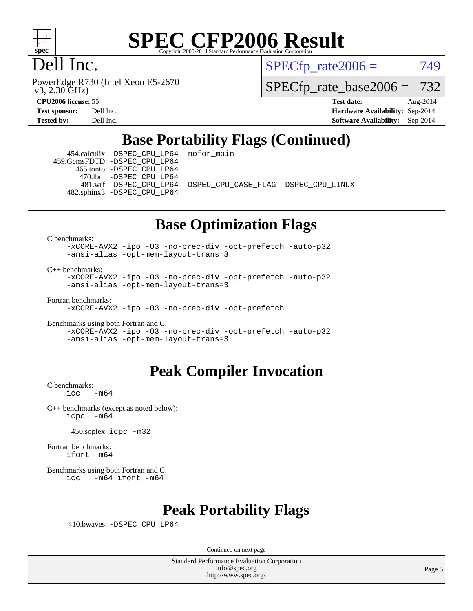

### Dell Inc.

 v3, 2.30 GHz) PowerEdge R730 (Intel Xeon E5-2670  $SPECTp\_rate2006 = 749$ 

[SPECfp\\_rate\\_base2006 =](http://www.spec.org/auto/cpu2006/Docs/result-fields.html#SPECfpratebase2006) 732

**[CPU2006 license:](http://www.spec.org/auto/cpu2006/Docs/result-fields.html#CPU2006license)** 55 **[Test date:](http://www.spec.org/auto/cpu2006/Docs/result-fields.html#Testdate)** Aug-2014 **[Test sponsor:](http://www.spec.org/auto/cpu2006/Docs/result-fields.html#Testsponsor)** Dell Inc. **[Hardware Availability:](http://www.spec.org/auto/cpu2006/Docs/result-fields.html#HardwareAvailability)** Sep-2014 **[Tested by:](http://www.spec.org/auto/cpu2006/Docs/result-fields.html#Testedby)** Dell Inc. **[Software Availability:](http://www.spec.org/auto/cpu2006/Docs/result-fields.html#SoftwareAvailability)** Sep-2014

### **[Base Portability Flags \(Continued\)](http://www.spec.org/auto/cpu2006/Docs/result-fields.html#BasePortabilityFlags)**

 454.calculix: [-DSPEC\\_CPU\\_LP64](http://www.spec.org/cpu2006/results/res2014q3/cpu2006-20140909-31335.flags.html#suite_basePORTABILITY454_calculix_DSPEC_CPU_LP64) [-nofor\\_main](http://www.spec.org/cpu2006/results/res2014q3/cpu2006-20140909-31335.flags.html#user_baseLDPORTABILITY454_calculix_f-nofor_main) 459.GemsFDTD: [-DSPEC\\_CPU\\_LP64](http://www.spec.org/cpu2006/results/res2014q3/cpu2006-20140909-31335.flags.html#suite_basePORTABILITY459_GemsFDTD_DSPEC_CPU_LP64) 465.tonto: [-DSPEC\\_CPU\\_LP64](http://www.spec.org/cpu2006/results/res2014q3/cpu2006-20140909-31335.flags.html#suite_basePORTABILITY465_tonto_DSPEC_CPU_LP64) 470.lbm: [-DSPEC\\_CPU\\_LP64](http://www.spec.org/cpu2006/results/res2014q3/cpu2006-20140909-31335.flags.html#suite_basePORTABILITY470_lbm_DSPEC_CPU_LP64) 481.wrf: [-DSPEC\\_CPU\\_LP64](http://www.spec.org/cpu2006/results/res2014q3/cpu2006-20140909-31335.flags.html#suite_basePORTABILITY481_wrf_DSPEC_CPU_LP64) [-DSPEC\\_CPU\\_CASE\\_FLAG](http://www.spec.org/cpu2006/results/res2014q3/cpu2006-20140909-31335.flags.html#b481.wrf_baseCPORTABILITY_DSPEC_CPU_CASE_FLAG) [-DSPEC\\_CPU\\_LINUX](http://www.spec.org/cpu2006/results/res2014q3/cpu2006-20140909-31335.flags.html#b481.wrf_baseCPORTABILITY_DSPEC_CPU_LINUX) 482.sphinx3: [-DSPEC\\_CPU\\_LP64](http://www.spec.org/cpu2006/results/res2014q3/cpu2006-20140909-31335.flags.html#suite_basePORTABILITY482_sphinx3_DSPEC_CPU_LP64)

## **[Base Optimization Flags](http://www.spec.org/auto/cpu2006/Docs/result-fields.html#BaseOptimizationFlags)**

[C benchmarks](http://www.spec.org/auto/cpu2006/Docs/result-fields.html#Cbenchmarks):

[-xCORE-AVX2](http://www.spec.org/cpu2006/results/res2014q3/cpu2006-20140909-31335.flags.html#user_CCbase_f-xAVX2_5f5fc0cbe2c9f62c816d3e45806c70d7) [-ipo](http://www.spec.org/cpu2006/results/res2014q3/cpu2006-20140909-31335.flags.html#user_CCbase_f-ipo) [-O3](http://www.spec.org/cpu2006/results/res2014q3/cpu2006-20140909-31335.flags.html#user_CCbase_f-O3) [-no-prec-div](http://www.spec.org/cpu2006/results/res2014q3/cpu2006-20140909-31335.flags.html#user_CCbase_f-no-prec-div) [-opt-prefetch](http://www.spec.org/cpu2006/results/res2014q3/cpu2006-20140909-31335.flags.html#user_CCbase_f-opt-prefetch) [-auto-p32](http://www.spec.org/cpu2006/results/res2014q3/cpu2006-20140909-31335.flags.html#user_CCbase_f-auto-p32) [-ansi-alias](http://www.spec.org/cpu2006/results/res2014q3/cpu2006-20140909-31335.flags.html#user_CCbase_f-ansi-alias) [-opt-mem-layout-trans=3](http://www.spec.org/cpu2006/results/res2014q3/cpu2006-20140909-31335.flags.html#user_CCbase_f-opt-mem-layout-trans_a7b82ad4bd7abf52556d4961a2ae94d5)

[C++ benchmarks:](http://www.spec.org/auto/cpu2006/Docs/result-fields.html#CXXbenchmarks)

[-xCORE-AVX2](http://www.spec.org/cpu2006/results/res2014q3/cpu2006-20140909-31335.flags.html#user_CXXbase_f-xAVX2_5f5fc0cbe2c9f62c816d3e45806c70d7) [-ipo](http://www.spec.org/cpu2006/results/res2014q3/cpu2006-20140909-31335.flags.html#user_CXXbase_f-ipo) [-O3](http://www.spec.org/cpu2006/results/res2014q3/cpu2006-20140909-31335.flags.html#user_CXXbase_f-O3) [-no-prec-div](http://www.spec.org/cpu2006/results/res2014q3/cpu2006-20140909-31335.flags.html#user_CXXbase_f-no-prec-div) [-opt-prefetch](http://www.spec.org/cpu2006/results/res2014q3/cpu2006-20140909-31335.flags.html#user_CXXbase_f-opt-prefetch) [-auto-p32](http://www.spec.org/cpu2006/results/res2014q3/cpu2006-20140909-31335.flags.html#user_CXXbase_f-auto-p32) [-ansi-alias](http://www.spec.org/cpu2006/results/res2014q3/cpu2006-20140909-31335.flags.html#user_CXXbase_f-ansi-alias) [-opt-mem-layout-trans=3](http://www.spec.org/cpu2006/results/res2014q3/cpu2006-20140909-31335.flags.html#user_CXXbase_f-opt-mem-layout-trans_a7b82ad4bd7abf52556d4961a2ae94d5)

[Fortran benchmarks](http://www.spec.org/auto/cpu2006/Docs/result-fields.html#Fortranbenchmarks):

[-xCORE-AVX2](http://www.spec.org/cpu2006/results/res2014q3/cpu2006-20140909-31335.flags.html#user_FCbase_f-xAVX2_5f5fc0cbe2c9f62c816d3e45806c70d7) [-ipo](http://www.spec.org/cpu2006/results/res2014q3/cpu2006-20140909-31335.flags.html#user_FCbase_f-ipo) [-O3](http://www.spec.org/cpu2006/results/res2014q3/cpu2006-20140909-31335.flags.html#user_FCbase_f-O3) [-no-prec-div](http://www.spec.org/cpu2006/results/res2014q3/cpu2006-20140909-31335.flags.html#user_FCbase_f-no-prec-div) [-opt-prefetch](http://www.spec.org/cpu2006/results/res2014q3/cpu2006-20140909-31335.flags.html#user_FCbase_f-opt-prefetch)

[Benchmarks using both Fortran and C](http://www.spec.org/auto/cpu2006/Docs/result-fields.html#BenchmarksusingbothFortranandC): [-xCORE-AVX2](http://www.spec.org/cpu2006/results/res2014q3/cpu2006-20140909-31335.flags.html#user_CC_FCbase_f-xAVX2_5f5fc0cbe2c9f62c816d3e45806c70d7) [-ipo](http://www.spec.org/cpu2006/results/res2014q3/cpu2006-20140909-31335.flags.html#user_CC_FCbase_f-ipo) [-O3](http://www.spec.org/cpu2006/results/res2014q3/cpu2006-20140909-31335.flags.html#user_CC_FCbase_f-O3) [-no-prec-div](http://www.spec.org/cpu2006/results/res2014q3/cpu2006-20140909-31335.flags.html#user_CC_FCbase_f-no-prec-div) [-opt-prefetch](http://www.spec.org/cpu2006/results/res2014q3/cpu2006-20140909-31335.flags.html#user_CC_FCbase_f-opt-prefetch) [-auto-p32](http://www.spec.org/cpu2006/results/res2014q3/cpu2006-20140909-31335.flags.html#user_CC_FCbase_f-auto-p32) [-ansi-alias](http://www.spec.org/cpu2006/results/res2014q3/cpu2006-20140909-31335.flags.html#user_CC_FCbase_f-ansi-alias) [-opt-mem-layout-trans=3](http://www.spec.org/cpu2006/results/res2014q3/cpu2006-20140909-31335.flags.html#user_CC_FCbase_f-opt-mem-layout-trans_a7b82ad4bd7abf52556d4961a2ae94d5)

### **[Peak Compiler Invocation](http://www.spec.org/auto/cpu2006/Docs/result-fields.html#PeakCompilerInvocation)**

[C benchmarks](http://www.spec.org/auto/cpu2006/Docs/result-fields.html#Cbenchmarks):  $-m64$ 

[C++ benchmarks \(except as noted below\):](http://www.spec.org/auto/cpu2006/Docs/result-fields.html#CXXbenchmarksexceptasnotedbelow) [icpc -m64](http://www.spec.org/cpu2006/results/res2014q3/cpu2006-20140909-31335.flags.html#user_CXXpeak_intel_icpc_64bit_bedb90c1146cab66620883ef4f41a67e)

450.soplex: [icpc -m32](http://www.spec.org/cpu2006/results/res2014q3/cpu2006-20140909-31335.flags.html#user_peakCXXLD450_soplex_intel_icpc_4e5a5ef1a53fd332b3c49e69c3330699)

[Fortran benchmarks](http://www.spec.org/auto/cpu2006/Docs/result-fields.html#Fortranbenchmarks): [ifort -m64](http://www.spec.org/cpu2006/results/res2014q3/cpu2006-20140909-31335.flags.html#user_FCpeak_intel_ifort_64bit_ee9d0fb25645d0210d97eb0527dcc06e)

[Benchmarks using both Fortran and C](http://www.spec.org/auto/cpu2006/Docs/result-fields.html#BenchmarksusingbothFortranandC): [icc -m64](http://www.spec.org/cpu2006/results/res2014q3/cpu2006-20140909-31335.flags.html#user_CC_FCpeak_intel_icc_64bit_0b7121f5ab7cfabee23d88897260401c) [ifort -m64](http://www.spec.org/cpu2006/results/res2014q3/cpu2006-20140909-31335.flags.html#user_CC_FCpeak_intel_ifort_64bit_ee9d0fb25645d0210d97eb0527dcc06e)

### **[Peak Portability Flags](http://www.spec.org/auto/cpu2006/Docs/result-fields.html#PeakPortabilityFlags)**

410.bwaves: [-DSPEC\\_CPU\\_LP64](http://www.spec.org/cpu2006/results/res2014q3/cpu2006-20140909-31335.flags.html#suite_peakPORTABILITY410_bwaves_DSPEC_CPU_LP64)

Continued on next page

Standard Performance Evaluation Corporation [info@spec.org](mailto:info@spec.org) <http://www.spec.org/>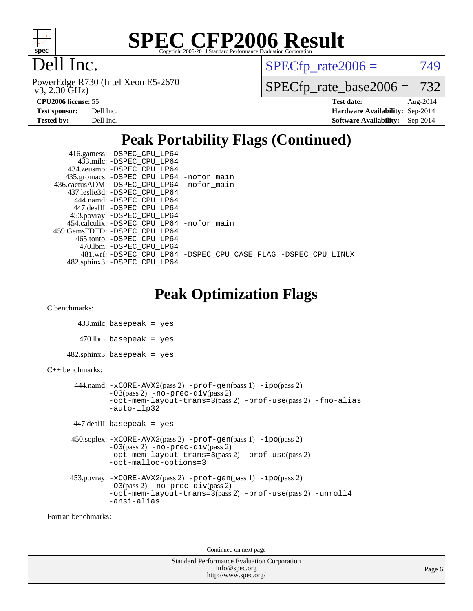

## Dell Inc.

 v3, 2.30 GHz) PowerEdge R730 (Intel Xeon E5-2670  $SPECTp\_rate2006 = 749$ 

[SPECfp\\_rate\\_base2006 =](http://www.spec.org/auto/cpu2006/Docs/result-fields.html#SPECfpratebase2006) 732

| <b>Test sponsor:</b> | Dell Inc. |
|----------------------|-----------|
| <b>Tested by:</b>    | Dell Inc. |

**[CPU2006 license:](http://www.spec.org/auto/cpu2006/Docs/result-fields.html#CPU2006license)** 55 **[Test date:](http://www.spec.org/auto/cpu2006/Docs/result-fields.html#Testdate)** Aug-2014 **[Hardware Availability:](http://www.spec.org/auto/cpu2006/Docs/result-fields.html#HardwareAvailability)** Sep-2014 **[Software Availability:](http://www.spec.org/auto/cpu2006/Docs/result-fields.html#SoftwareAvailability)** Sep-2014

## **[Peak Portability Flags \(Continued\)](http://www.spec.org/auto/cpu2006/Docs/result-fields.html#PeakPortabilityFlags)**

| 416.gamess: -DSPEC_CPU_LP64                 |                                                                |
|---------------------------------------------|----------------------------------------------------------------|
| 433.milc: -DSPEC CPU LP64                   |                                                                |
| 434.zeusmp: -DSPEC_CPU_LP64                 |                                                                |
| 435.gromacs: -DSPEC_CPU_LP64 -nofor_main    |                                                                |
| 436.cactusADM: -DSPEC CPU LP64 -nofor main  |                                                                |
| 437.leslie3d: -DSPEC_CPU_LP64               |                                                                |
| 444.namd: - DSPEC CPU LP64                  |                                                                |
| 447.dealII: -DSPEC CPU LP64                 |                                                                |
| 453.povray: -DSPEC_CPU_LP64                 |                                                                |
| 454.calculix: - DSPEC CPU LP64 - nofor main |                                                                |
| 459.GemsFDTD: -DSPEC CPU LP64               |                                                                |
| 465.tonto: -DSPEC CPU LP64                  |                                                                |
| 470.1bm: - DSPEC CPU LP64                   |                                                                |
|                                             | 481.wrf: -DSPEC_CPU_LP64 -DSPEC_CPU_CASE_FLAG -DSPEC_CPU_LINUX |
| 482.sphinx3: -DSPEC CPU LP64                |                                                                |

**[Peak Optimization Flags](http://www.spec.org/auto/cpu2006/Docs/result-fields.html#PeakOptimizationFlags)**

[C benchmarks](http://www.spec.org/auto/cpu2006/Docs/result-fields.html#Cbenchmarks):

433.milc: basepeak = yes

 $470$ .lbm: basepeak = yes

482.sphinx3: basepeak = yes

[C++ benchmarks:](http://www.spec.org/auto/cpu2006/Docs/result-fields.html#CXXbenchmarks)

```
 444.namd: -xCORE-AVX2(pass 2) -prof-gen(pass 1) -ipo(pass 2)
        -O3(pass 2) -no-prec-div(pass 2)
        -opt-mem-layout-trans=3(pass 2) -prof-use(pass 2) -fno-alias
        -auto-ilp32
```
447.dealII: basepeak = yes

```
 450.soplex: -xCORE-AVX2(pass 2) -prof-gen(pass 1) -ipo(pass 2)
         -O3(pass 2) -no-prec-div(pass 2)
         -opt-mem-layout-trans=3(pass 2) -prof-use(pass 2)
         -opt-malloc-options=3
```

```
 453.povray: -xCORE-AVX2(pass 2) -prof-gen(pass 1) -ipo(pass 2)
          -O3(pass 2) -no-prec-div(pass 2)
          -opt-mem-layout-trans=3(pass 2) -prof-use(pass 2) -unroll4
          -ansi-alias
```
[Fortran benchmarks](http://www.spec.org/auto/cpu2006/Docs/result-fields.html#Fortranbenchmarks):

Continued on next page

```
Standard Performance Evaluation Corporation
             info@spec.org
           http://www.spec.org/
```